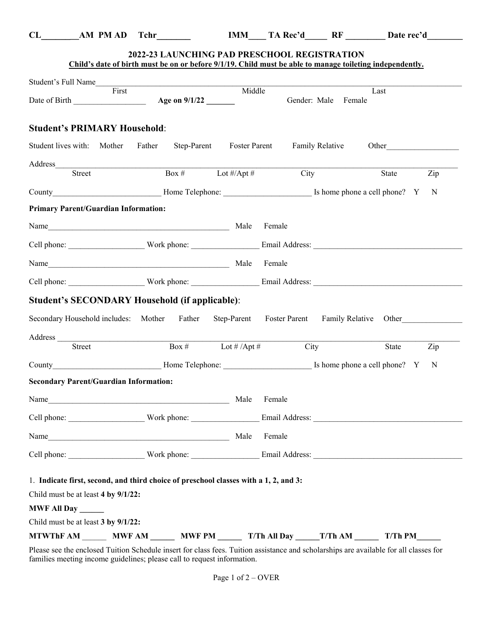| ٠<br>I<br>. .<br>v |  |
|--------------------|--|

**CL\_\_\_\_\_\_\_\_AM PM AD Tchr\_\_\_\_\_\_\_ IMM\_\_\_\_ TA Rec'd\_\_\_\_\_ RF \_\_\_\_\_\_\_\_\_ Date rec'd\_\_\_\_\_\_\_\_** 

|                                                                                                                                                                                                                                                                                                                                                                                                                                                                                                          |                       |                                   | 2022-23 LAUNCHING PAD PRESCHOOL REGISTRATION | Child's date of birth must be on or before 9/1/19. Child must be able to manage toileting independently. |              |
|----------------------------------------------------------------------------------------------------------------------------------------------------------------------------------------------------------------------------------------------------------------------------------------------------------------------------------------------------------------------------------------------------------------------------------------------------------------------------------------------------------|-----------------------|-----------------------------------|----------------------------------------------|----------------------------------------------------------------------------------------------------------|--------------|
| Student's Full Name                                                                                                                                                                                                                                                                                                                                                                                                                                                                                      |                       |                                   |                                              |                                                                                                          |              |
|                                                                                                                                                                                                                                                                                                                                                                                                                                                                                                          | First                 | Middle                            |                                              | Last<br>Gender: Male Female                                                                              |              |
| <b>Student's PRIMARY Household:</b>                                                                                                                                                                                                                                                                                                                                                                                                                                                                      |                       |                                   |                                              |                                                                                                          |              |
| Student lives with: Mother                                                                                                                                                                                                                                                                                                                                                                                                                                                                               | Father<br>Step-Parent |                                   | <b>Foster Parent</b> Family Relative         |                                                                                                          | Other        |
|                                                                                                                                                                                                                                                                                                                                                                                                                                                                                                          |                       |                                   |                                              |                                                                                                          |              |
| Street                                                                                                                                                                                                                                                                                                                                                                                                                                                                                                   |                       | Box # $\qquad \qquad$ Lot #/Apt # | City                                         | State                                                                                                    | Zip          |
|                                                                                                                                                                                                                                                                                                                                                                                                                                                                                                          |                       |                                   |                                              |                                                                                                          | $\mathbf N$  |
| <b>Primary Parent/Guardian Information:</b>                                                                                                                                                                                                                                                                                                                                                                                                                                                              |                       |                                   |                                              |                                                                                                          |              |
|                                                                                                                                                                                                                                                                                                                                                                                                                                                                                                          |                       |                                   |                                              |                                                                                                          |              |
|                                                                                                                                                                                                                                                                                                                                                                                                                                                                                                          |                       |                                   |                                              |                                                                                                          |              |
|                                                                                                                                                                                                                                                                                                                                                                                                                                                                                                          |                       |                                   |                                              |                                                                                                          |              |
|                                                                                                                                                                                                                                                                                                                                                                                                                                                                                                          |                       |                                   |                                              |                                                                                                          |              |
|                                                                                                                                                                                                                                                                                                                                                                                                                                                                                                          |                       |                                   |                                              |                                                                                                          |              |
| <b>Student's SECONDARY Household (if applicable):</b><br>Secondary Household includes: Mother Father Step-Parent                                                                                                                                                                                                                                                                                                                                                                                         |                       |                                   | Foster Parent Family Relative Other          |                                                                                                          |              |
|                                                                                                                                                                                                                                                                                                                                                                                                                                                                                                          |                       |                                   |                                              |                                                                                                          |              |
|                                                                                                                                                                                                                                                                                                                                                                                                                                                                                                          |                       |                                   |                                              |                                                                                                          |              |
| Street                                                                                                                                                                                                                                                                                                                                                                                                                                                                                                   |                       | Box # $\frac{1}{2}$ Lot # /Apt #  |                                              | City                                                                                                     | Zip<br>State |
|                                                                                                                                                                                                                                                                                                                                                                                                                                                                                                          |                       |                                   |                                              |                                                                                                          | $\mathbf N$  |
|                                                                                                                                                                                                                                                                                                                                                                                                                                                                                                          |                       |                                   |                                              |                                                                                                          |              |
|                                                                                                                                                                                                                                                                                                                                                                                                                                                                                                          |                       |                                   |                                              |                                                                                                          |              |
|                                                                                                                                                                                                                                                                                                                                                                                                                                                                                                          |                       |                                   |                                              |                                                                                                          |              |
|                                                                                                                                                                                                                                                                                                                                                                                                                                                                                                          |                       |                                   | Female                                       |                                                                                                          |              |
|                                                                                                                                                                                                                                                                                                                                                                                                                                                                                                          |                       |                                   |                                              |                                                                                                          |              |
|                                                                                                                                                                                                                                                                                                                                                                                                                                                                                                          |                       |                                   |                                              |                                                                                                          |              |
|                                                                                                                                                                                                                                                                                                                                                                                                                                                                                                          |                       |                                   |                                              |                                                                                                          |              |
|                                                                                                                                                                                                                                                                                                                                                                                                                                                                                                          |                       |                                   |                                              |                                                                                                          |              |
| Address<br><b>Secondary Parent/Guardian Information:</b><br>Name Male Female<br>Name  Male  Male  Male  Male  Male  Male  Male  Male  Male  Male  Male  Male  Male  Male  Male  Male  Male  Male  Male  Male  Male  Male  Male  Male  Male  Male  Male  Male  Male  Male  Male  Male  Male  Male  Male  Male<br>1. Indicate first, second, and third choice of preschool classes with a 1, 2, and 3:<br>Child must be at least 4 by 9/1/22:<br><b>MWF All Day</b><br>Child must be at least 3 by 9/1/22: |                       |                                   |                                              |                                                                                                          |              |

Please see the enclosed Tuition Schedule insert for class fees. Tuition assistance and scholarships are available for all classes for families meeting income guidelines; please call to request information.